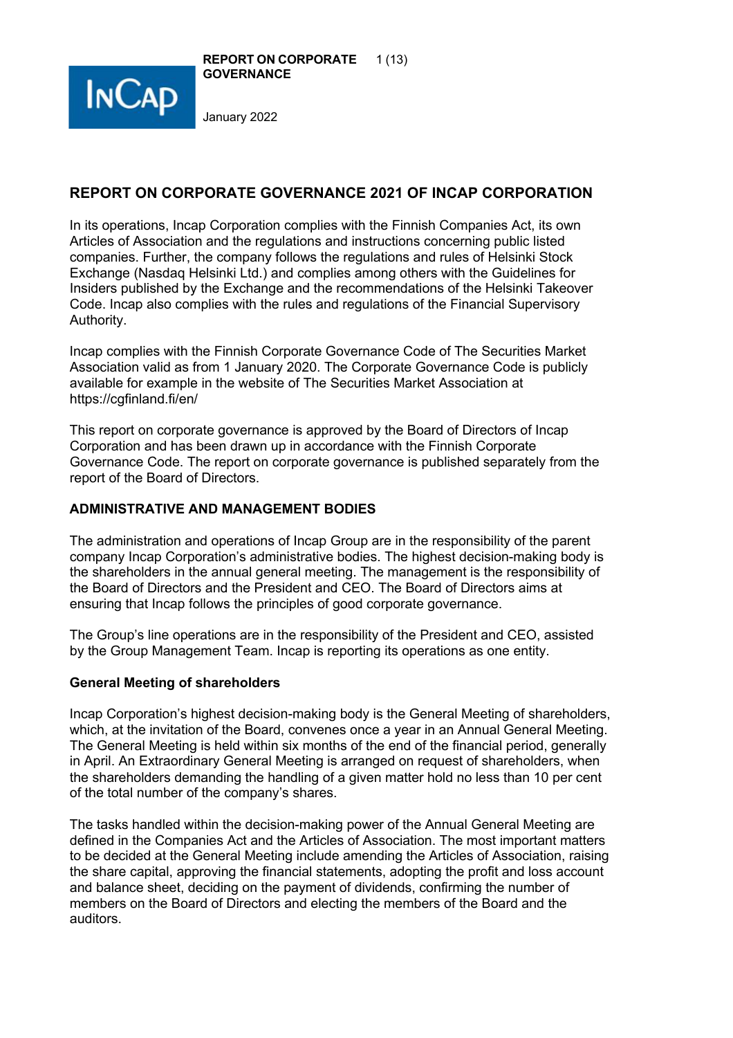



# **REPORT ON CORPORATE GOVERNANCE 2021 OF INCAP CORPORATION**

In its operations, Incap Corporation complies with the Finnish Companies Act, its own Articles of Association and the regulations and instructions concerning public listed companies. Further, the company follows the regulations and rules of Helsinki Stock Exchange (Nasdaq Helsinki Ltd.) and complies among others with the Guidelines for Insiders published by the Exchange and the recommendations of the Helsinki Takeover Code. Incap also complies with the rules and regulations of the Financial Supervisory Authority.

Incap complies with the Finnish Corporate Governance Code of The Securities Market Association valid as from 1 January 2020. The Corporate Governance Code is publicly available for example in the website of The Securities Market Association at https://cgfinland.fi/en/

This report on corporate governance is approved by the Board of Directors of Incap Corporation and has been drawn up in accordance with the Finnish Corporate Governance Code. The report on corporate governance is published separately from the report of the Board of Directors.

### **ADMINISTRATIVE AND MANAGEMENT BODIES**

The administration and operations of Incap Group are in the responsibility of the parent company Incap Corporation's administrative bodies. The highest decision-making body is the shareholders in the annual general meeting. The management is the responsibility of the Board of Directors and the President and CEO. The Board of Directors aims at ensuring that Incap follows the principles of good corporate governance.

The Group's line operations are in the responsibility of the President and CEO, assisted by the Group Management Team. Incap is reporting its operations as one entity.

#### **General Meeting of shareholders**

Incap Corporation's highest decision-making body is the General Meeting of shareholders, which, at the invitation of the Board, convenes once a year in an Annual General Meeting. The General Meeting is held within six months of the end of the financial period, generally in April. An Extraordinary General Meeting is arranged on request of shareholders, when the shareholders demanding the handling of a given matter hold no less than 10 per cent of the total number of the company's shares.

The tasks handled within the decision-making power of the Annual General Meeting are defined in the Companies Act and the Articles of Association. The most important matters to be decided at the General Meeting include amending the Articles of Association, raising the share capital, approving the financial statements, adopting the profit and loss account and balance sheet, deciding on the payment of dividends, confirming the number of members on the Board of Directors and electing the members of the Board and the auditors.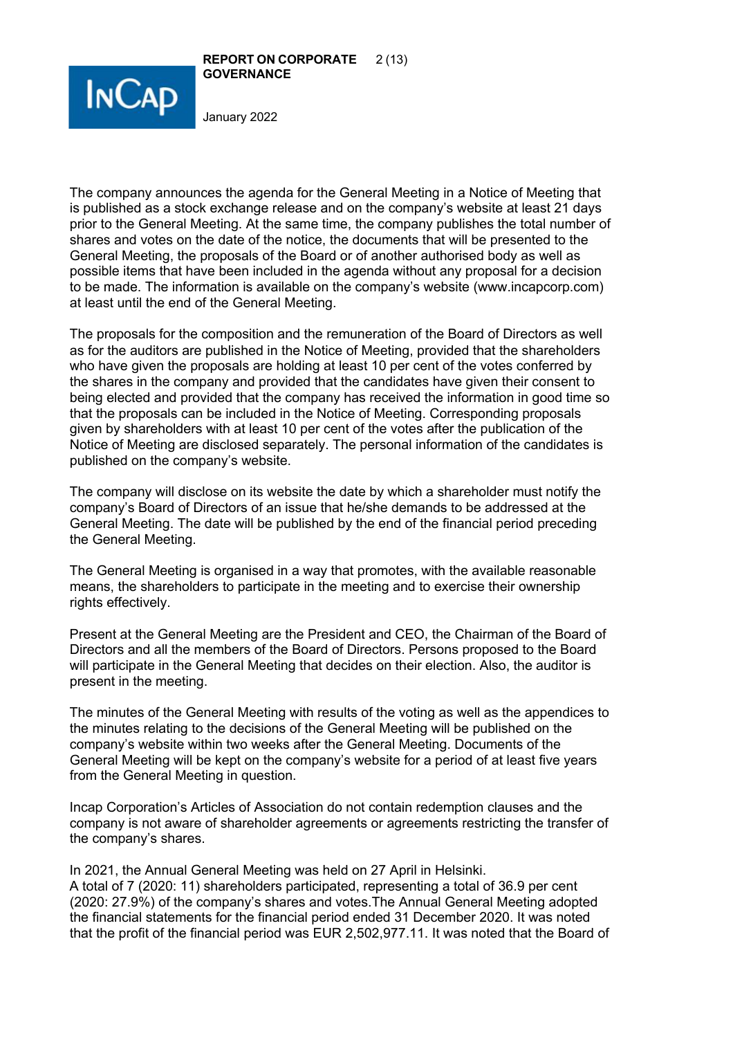



The company announces the agenda for the General Meeting in a Notice of Meeting that is published as a stock exchange release and on the company's website at least 21 days prior to the General Meeting. At the same time, the company publishes the total number of shares and votes on the date of the notice, the documents that will be presented to the General Meeting, the proposals of the Board or of another authorised body as well as possible items that have been included in the agenda without any proposal for a decision to be made. The information is available on the company's website (www.incapcorp.com) at least until the end of the General Meeting.

The proposals for the composition and the remuneration of the Board of Directors as well as for the auditors are published in the Notice of Meeting, provided that the shareholders who have given the proposals are holding at least 10 per cent of the votes conferred by the shares in the company and provided that the candidates have given their consent to being elected and provided that the company has received the information in good time so that the proposals can be included in the Notice of Meeting. Corresponding proposals given by shareholders with at least 10 per cent of the votes after the publication of the Notice of Meeting are disclosed separately. The personal information of the candidates is published on the company's website.

The company will disclose on its website the date by which a shareholder must notify the company's Board of Directors of an issue that he/she demands to be addressed at the General Meeting. The date will be published by the end of the financial period preceding the General Meeting.

The General Meeting is organised in a way that promotes, with the available reasonable means, the shareholders to participate in the meeting and to exercise their ownership rights effectively.

Present at the General Meeting are the President and CEO, the Chairman of the Board of Directors and all the members of the Board of Directors. Persons proposed to the Board will participate in the General Meeting that decides on their election. Also, the auditor is present in the meeting.

The minutes of the General Meeting with results of the voting as well as the appendices to the minutes relating to the decisions of the General Meeting will be published on the company's website within two weeks after the General Meeting. Documents of the General Meeting will be kept on the company's website for a period of at least five years from the General Meeting in question.

Incap Corporation's Articles of Association do not contain redemption clauses and the company is not aware of shareholder agreements or agreements restricting the transfer of the company's shares.

In 2021, the Annual General Meeting was held on 27 April in Helsinki. A total of 7 (2020: 11) shareholders participated, representing a total of 36.9 per cent (2020: 27.9%) of the company's shares and votes.The Annual General Meeting adopted the financial statements for the financial period ended 31 December 2020. It was noted that the profit of the financial period was EUR 2,502,977.11. It was noted that the Board of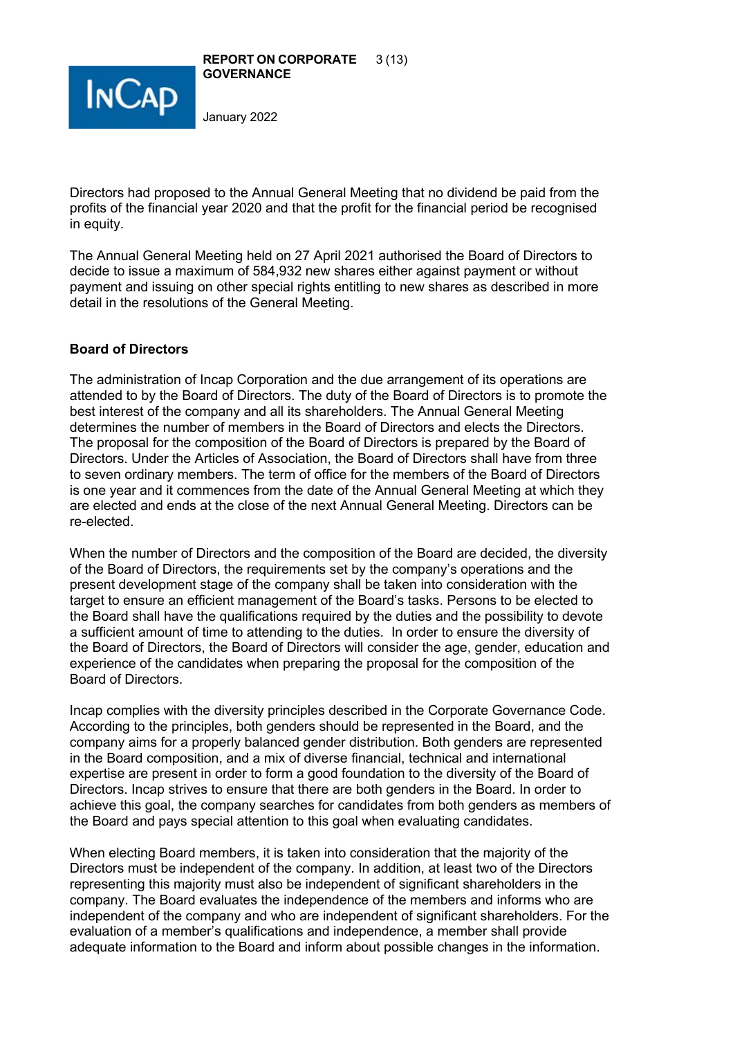

Directors had proposed to the Annual General Meeting that no dividend be paid from the profits of the financial year 2020 and that the profit for the financial period be recognised in equity.

The Annual General Meeting held on 27 April 2021 authorised the Board of Directors to decide to issue a maximum of 584,932 new shares either against payment or without payment and issuing on other special rights entitling to new shares as described in more detail in the resolutions of the General Meeting.

# **Board of Directors**

The administration of Incap Corporation and the due arrangement of its operations are attended to by the Board of Directors. The duty of the Board of Directors is to promote the best interest of the company and all its shareholders. The Annual General Meeting determines the number of members in the Board of Directors and elects the Directors. The proposal for the composition of the Board of Directors is prepared by the Board of Directors. Under the Articles of Association, the Board of Directors shall have from three to seven ordinary members. The term of office for the members of the Board of Directors is one year and it commences from the date of the Annual General Meeting at which they are elected and ends at the close of the next Annual General Meeting. Directors can be re-elected.

When the number of Directors and the composition of the Board are decided, the diversity of the Board of Directors, the requirements set by the company's operations and the present development stage of the company shall be taken into consideration with the target to ensure an efficient management of the Board's tasks. Persons to be elected to the Board shall have the qualifications required by the duties and the possibility to devote a sufficient amount of time to attending to the duties. In order to ensure the diversity of the Board of Directors, the Board of Directors will consider the age, gender, education and experience of the candidates when preparing the proposal for the composition of the Board of Directors.

Incap complies with the diversity principles described in the Corporate Governance Code. According to the principles, both genders should be represented in the Board, and the company aims for a properly balanced gender distribution. Both genders are represented in the Board composition, and a mix of diverse financial, technical and international expertise are present in order to form a good foundation to the diversity of the Board of Directors. Incap strives to ensure that there are both genders in the Board. In order to achieve this goal, the company searches for candidates from both genders as members of the Board and pays special attention to this goal when evaluating candidates.

When electing Board members, it is taken into consideration that the majority of the Directors must be independent of the company. In addition, at least two of the Directors representing this majority must also be independent of significant shareholders in the company. The Board evaluates the independence of the members and informs who are independent of the company and who are independent of significant shareholders. For the evaluation of a member's qualifications and independence, a member shall provide adequate information to the Board and inform about possible changes in the information.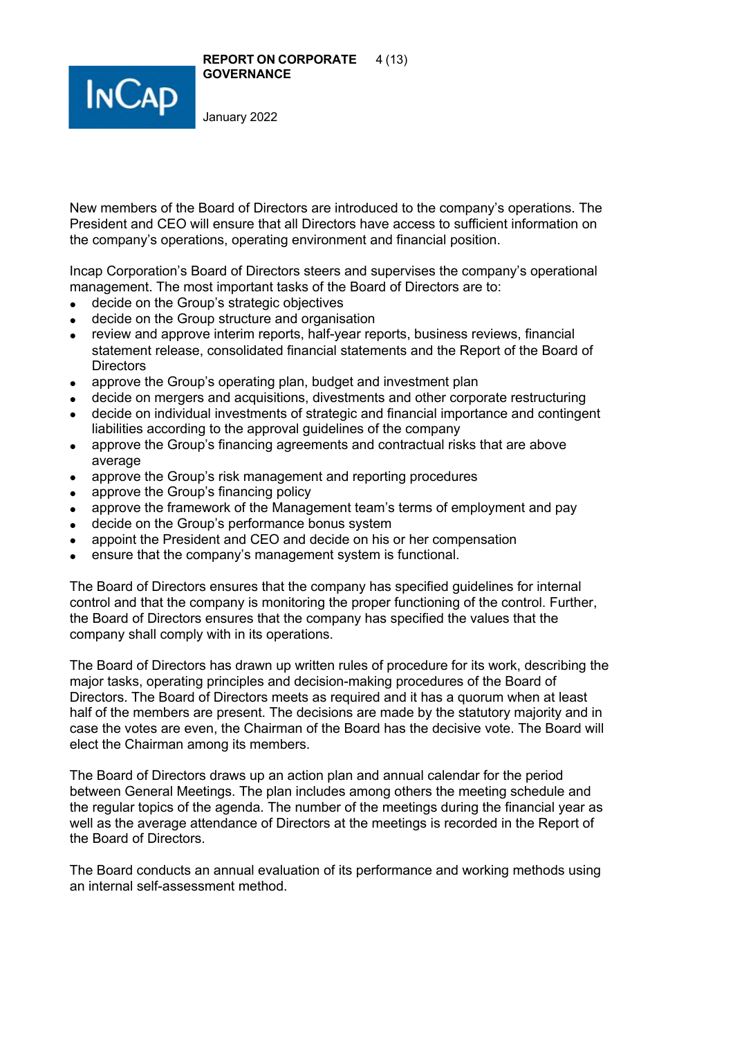**REPORT ON CORPORATE** 4 (13) **GOVERNANCE**



January 2022

New members of the Board of Directors are introduced to the company's operations. The President and CEO will ensure that all Directors have access to sufficient information on the company's operations, operating environment and financial position.

Incap Corporation's Board of Directors steers and supervises the company's operational management. The most important tasks of the Board of Directors are to:

- decide on the Group's strategic objectives
- decide on the Group structure and organisation
- review and approve interim reports, half-year reports, business reviews, financial statement release, consolidated financial statements and the Report of the Board of **Directors**
- approve the Group's operating plan, budget and investment plan
- decide on mergers and acquisitions, divestments and other corporate restructuring
- decide on individual investments of strategic and financial importance and contingent liabilities according to the approval guidelines of the company
- approve the Group's financing agreements and contractual risks that are above average
- approve the Group's risk management and reporting procedures
- approve the Group's financing policy
- approve the framework of the Management team's terms of employment and pay
- decide on the Group's performance bonus system
- appoint the President and CEO and decide on his or her compensation
- ensure that the company's management system is functional.

The Board of Directors ensures that the company has specified guidelines for internal control and that the company is monitoring the proper functioning of the control. Further, the Board of Directors ensures that the company has specified the values that the company shall comply with in its operations.

The Board of Directors has drawn up written rules of procedure for its work, describing the major tasks, operating principles and decision-making procedures of the Board of Directors. The Board of Directors meets as required and it has a quorum when at least half of the members are present. The decisions are made by the statutory majority and in case the votes are even, the Chairman of the Board has the decisive vote. The Board will elect the Chairman among its members.

The Board of Directors draws up an action plan and annual calendar for the period between General Meetings. The plan includes among others the meeting schedule and the regular topics of the agenda. The number of the meetings during the financial year as well as the average attendance of Directors at the meetings is recorded in the Report of the Board of Directors.

The Board conducts an annual evaluation of its performance and working methods using an internal self-assessment method.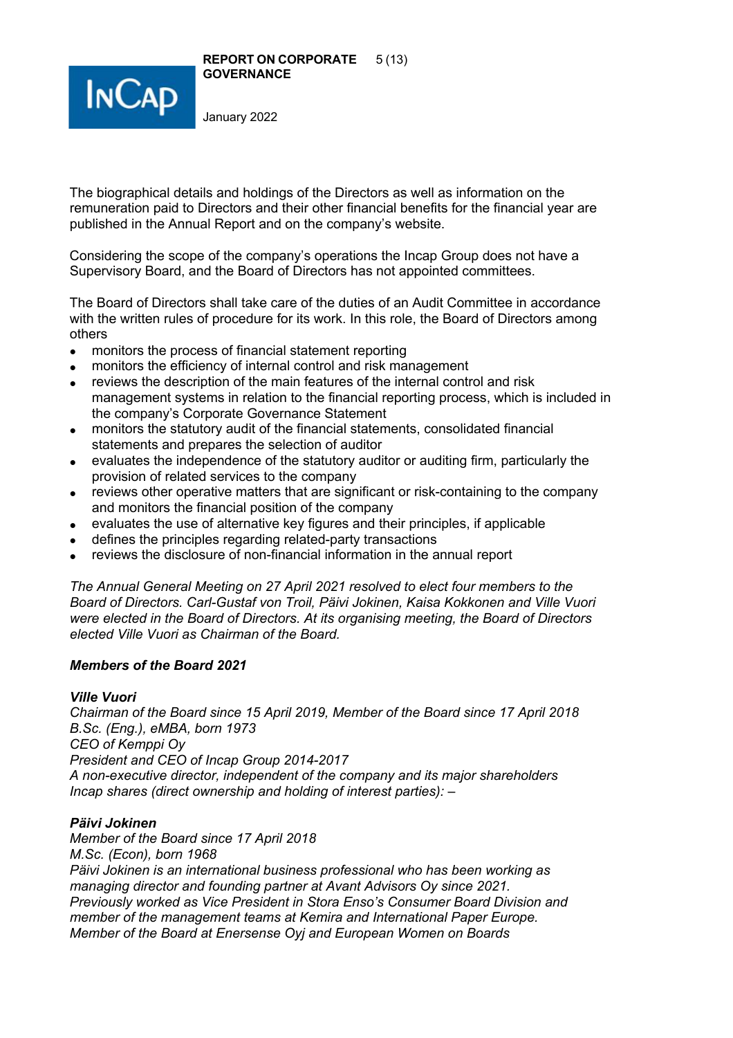



The biographical details and holdings of the Directors as well as information on the remuneration paid to Directors and their other financial benefits for the financial year are published in the Annual Report and on the company's website.

Considering the scope of the company's operations the Incap Group does not have a Supervisory Board, and the Board of Directors has not appointed committees.

The Board of Directors shall take care of the duties of an Audit Committee in accordance with the written rules of procedure for its work. In this role, the Board of Directors among others

- monitors the process of financial statement reporting
- monitors the efficiency of internal control and risk management
- reviews the description of the main features of the internal control and risk management systems in relation to the financial reporting process, which is included in the company's Corporate Governance Statement
- monitors the statutory audit of the financial statements, consolidated financial statements and prepares the selection of auditor
- evaluates the independence of the statutory auditor or auditing firm, particularly the provision of related services to the company
- reviews other operative matters that are significant or risk-containing to the company and monitors the financial position of the company
- evaluates the use of alternative key figures and their principles, if applicable
- defines the principles regarding related-party transactions
- reviews the disclosure of non-financial information in the annual report

*The Annual General Meeting on 27 April 2021 resolved to elect four members to the Board of Directors. Carl-Gustaf von Troil, Päivi Jokinen, Kaisa Kokkonen and Ville Vuori were elected in the Board of Directors. At its organising meeting, the Board of Directors elected Ville Vuori as Chairman of the Board.* 

### *Members of the Board 2021*

# *Ville Vuori*

*Chairman of the Board since 15 April 2019, Member of the Board since 17 April 2018 B.Sc. (Eng.), eMBA, born 1973 CEO of Kemppi Oy President and CEO of Incap Group 2014-2017 A non-executive director, independent of the company and its major shareholders Incap shares (direct ownership and holding of interest parties): –*

# *Päivi Jokinen*

*Member of the Board since 17 April 2018 M.Sc. (Econ), born 1968 Päivi Jokinen is an international business professional who has been working as managing director and founding partner at Avant Advisors Oy since 2021. Previously worked as Vice President in Stora Enso's Consumer Board Division and member of the management teams at Kemira and International Paper Europe. Member of the Board at Enersense Oyj and European Women on Boards*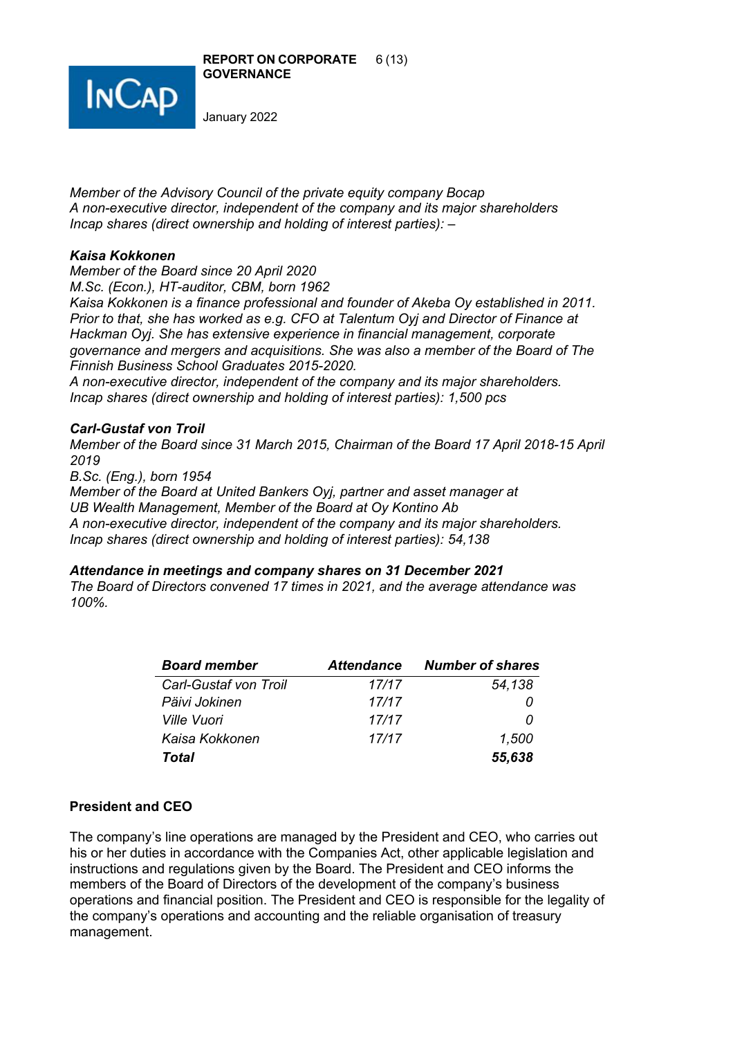



*Member of the Advisory Council of the private equity company Bocap A non-executive director, independent of the company and its major shareholders Incap shares (direct ownership and holding of interest parties): –*

# *Kaisa Kokkonen*

*Member of the Board since 20 April 2020 M.Sc. (Econ.), HT-auditor, CBM, born 1962*

*Kaisa Kokkonen is a finance professional and founder of Akeba Oy established in 2011. Prior to that, she has worked as e.g. CFO at Talentum Oyj and Director of Finance at Hackman Oyj. She has extensive experience in financial management, corporate governance and mergers and acquisitions. She was also a member of the Board of The Finnish Business School Graduates 2015-2020.*

*A non-executive director, independent of the company and its major shareholders. Incap shares (direct ownership and holding of interest parties): 1,500 pcs*

### *Carl-Gustaf von Troil*

*Member of the Board since 31 March 2015, Chairman of the Board 17 April 2018-15 April 2019*

*B.Sc. (Eng.), born 1954* 

*Member of the Board at United Bankers Oyj, partner and asset manager at UB Wealth Management, Member of the Board at Oy Kontino Ab A non-executive director, independent of the company and its major shareholders. Incap shares (direct ownership and holding of interest parties): 54,138*

### *Attendance in meetings and company shares on 31 December 2021*

*The Board of Directors convened 17 times in 2021, and the average attendance was 100%.*

| <b>Board member</b>   | <b>Attendance</b> | <b>Number of shares</b> |
|-----------------------|-------------------|-------------------------|
| Carl-Gustaf von Troil | 17/17             | 54,138                  |
| Päivi Jokinen         | 17/17             |                         |
| <i>Ville Vuori</i>    | 17/17             | 0                       |
| Kaisa Kokkonen        | 17/17             | 1,500                   |
| Total                 |                   | 55,638                  |

### **President and CEO**

The company's line operations are managed by the President and CEO, who carries out his or her duties in accordance with the Companies Act, other applicable legislation and instructions and regulations given by the Board. The President and CEO informs the members of the Board of Directors of the development of the company's business operations and financial position. The President and CEO is responsible for the legality of the company's operations and accounting and the reliable organisation of treasury management.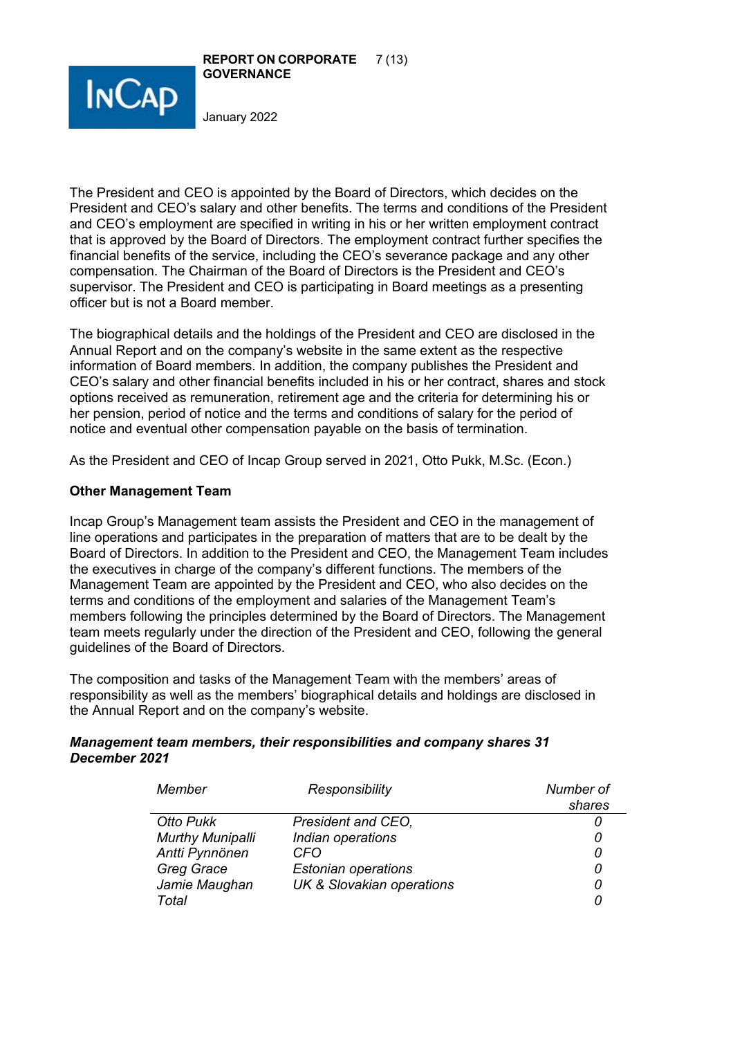



The President and CEO is appointed by the Board of Directors, which decides on the President and CEO's salary and other benefits. The terms and conditions of the President and CEO's employment are specified in writing in his or her written employment contract that is approved by the Board of Directors. The employment contract further specifies the financial benefits of the service, including the CEO's severance package and any other compensation. The Chairman of the Board of Directors is the President and CEO's supervisor. The President and CEO is participating in Board meetings as a presenting officer but is not a Board member.

The biographical details and the holdings of the President and CEO are disclosed in the Annual Report and on the company's website in the same extent as the respective information of Board members. In addition, the company publishes the President and CEO's salary and other financial benefits included in his or her contract, shares and stock options received as remuneration, retirement age and the criteria for determining his or her pension, period of notice and the terms and conditions of salary for the period of notice and eventual other compensation payable on the basis of termination.

As the President and CEO of Incap Group served in 2021, Otto Pukk, M.Sc. (Econ.)

# **Other Management Team**

Incap Group's Management team assists the President and CEO in the management of line operations and participates in the preparation of matters that are to be dealt by the Board of Directors. In addition to the President and CEO, the Management Team includes the executives in charge of the company's different functions. The members of the Management Team are appointed by the President and CEO, who also decides on the terms and conditions of the employment and salaries of the Management Team's members following the principles determined by the Board of Directors. The Management team meets regularly under the direction of the President and CEO, following the general guidelines of the Board of Directors.

The composition and tasks of the Management Team with the members' areas of responsibility as well as the members' biographical details and holdings are disclosed in the Annual Report and on the company's website.

# *Management team members, their responsibilities and company shares 31 December 2021*

| Member                  | Responsibility                       | Number of |
|-------------------------|--------------------------------------|-----------|
|                         |                                      | shares    |
| Otto Pukk               | President and CEO,                   |           |
| <b>Murthy Munipalli</b> | Indian operations                    |           |
| Antti Pynnönen          | CFO                                  |           |
| Greg Grace              | <b>Estonian operations</b>           |           |
| Jamie Maughan           | <b>UK &amp; Slovakian operations</b> |           |
| Total                   |                                      |           |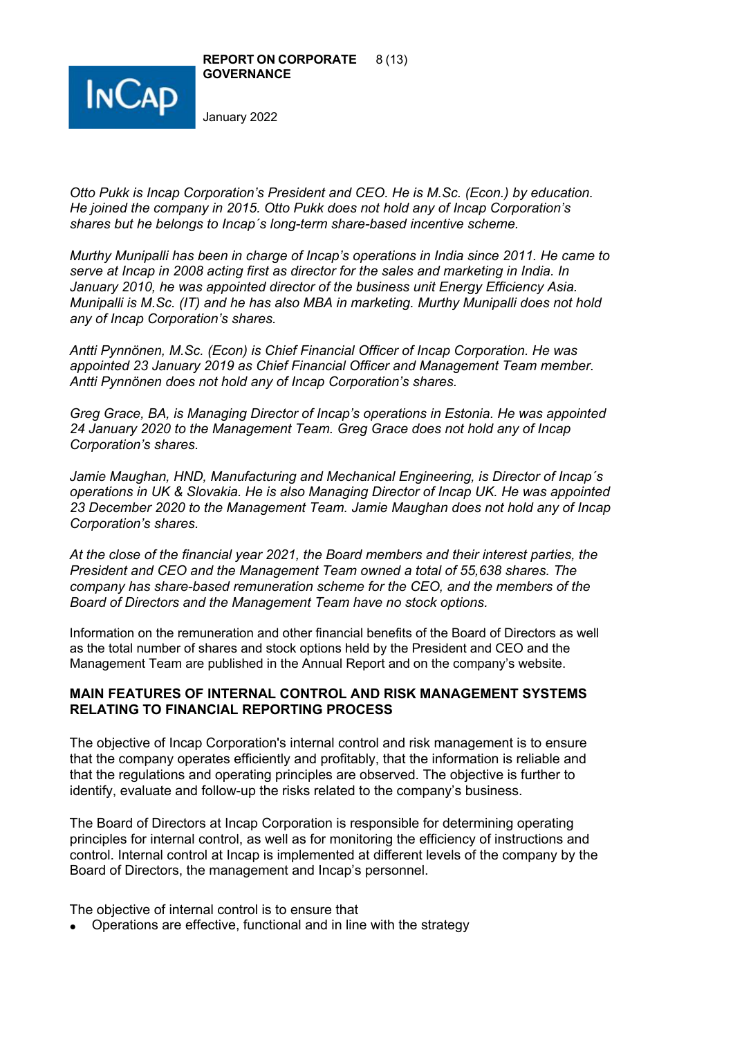



*Otto Pukk is Incap Corporation's President and CEO. He is M.Sc. (Econ.) by education. He joined the company in 2015. Otto Pukk does not hold any of Incap Corporation's shares but he belongs to Incap´s long-term share-based incentive scheme.* 

*Murthy Munipalli has been in charge of Incap's operations in India since 2011. He came to serve at Incap in 2008 acting first as director for the sales and marketing in India. In January 2010, he was appointed director of the business unit Energy Efficiency Asia. Munipalli is M.Sc. (IT) and he has also MBA in marketing. Murthy Munipalli does not hold any of Incap Corporation's shares.* 

*Antti Pynnönen, M.Sc. (Econ) is Chief Financial Officer of Incap Corporation. He was appointed 23 January 2019 as Chief Financial Officer and Management Team member. Antti Pynnönen does not hold any of Incap Corporation's shares.* 

*Greg Grace, BA, is Managing Director of Incap's operations in Estonia. He was appointed 24 January 2020 to the Management Team. Greg Grace does not hold any of Incap Corporation's shares.*

*Jamie Maughan, HND, Manufacturing and Mechanical Engineering, is Director of Incap´s operations in UK & Slovakia. He is also Managing Director of Incap UK. He was appointed 23 December 2020 to the Management Team. Jamie Maughan does not hold any of Incap Corporation's shares.*

*At the close of the financial year 2021, the Board members and their interest parties, the President and CEO and the Management Team owned a total of 55,638 shares. The company has share-based remuneration scheme for the CEO, and the members of the Board of Directors and the Management Team have no stock options.*

Information on the remuneration and other financial benefits of the Board of Directors as well as the total number of shares and stock options held by the President and CEO and the Management Team are published in the Annual Report and on the company's website.

### **MAIN FEATURES OF INTERNAL CONTROL AND RISK MANAGEMENT SYSTEMS RELATING TO FINANCIAL REPORTING PROCESS**

The objective of Incap Corporation's internal control and risk management is to ensure that the company operates efficiently and profitably, that the information is reliable and that the regulations and operating principles are observed. The objective is further to identify, evaluate and follow-up the risks related to the company's business.

The Board of Directors at Incap Corporation is responsible for determining operating principles for internal control, as well as for monitoring the efficiency of instructions and control. Internal control at Incap is implemented at different levels of the company by the Board of Directors, the management and Incap's personnel.

The objective of internal control is to ensure that

• Operations are effective, functional and in line with the strategy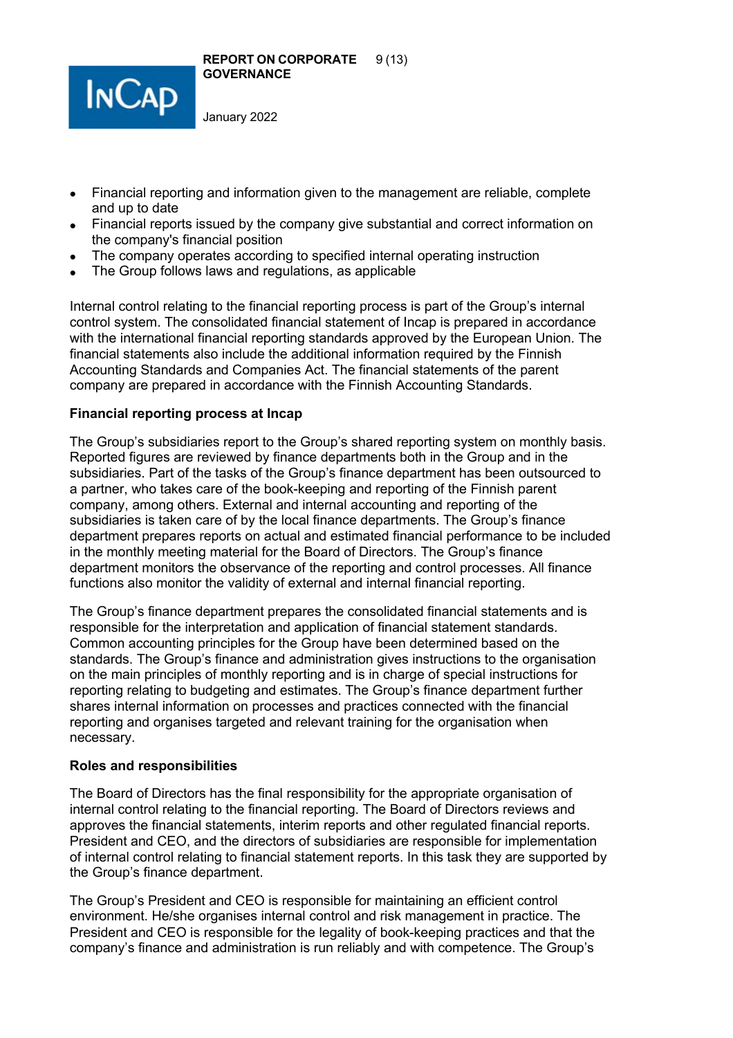

- Financial reporting and information given to the management are reliable, complete and up to date
- Financial reports issued by the company give substantial and correct information on the company's financial position
- The company operates according to specified internal operating instruction
- The Group follows laws and regulations, as applicable

Internal control relating to the financial reporting process is part of the Group's internal control system. The consolidated financial statement of Incap is prepared in accordance with the international financial reporting standards approved by the European Union. The financial statements also include the additional information required by the Finnish Accounting Standards and Companies Act. The financial statements of the parent company are prepared in accordance with the Finnish Accounting Standards.

### **Financial reporting process at Incap**

The Group's subsidiaries report to the Group's shared reporting system on monthly basis. Reported figures are reviewed by finance departments both in the Group and in the subsidiaries. Part of the tasks of the Group's finance department has been outsourced to a partner, who takes care of the book-keeping and reporting of the Finnish parent company, among others. External and internal accounting and reporting of the subsidiaries is taken care of by the local finance departments. The Group's finance department prepares reports on actual and estimated financial performance to be included in the monthly meeting material for the Board of Directors. The Group's finance department monitors the observance of the reporting and control processes. All finance functions also monitor the validity of external and internal financial reporting.

The Group's finance department prepares the consolidated financial statements and is responsible for the interpretation and application of financial statement standards. Common accounting principles for the Group have been determined based on the standards. The Group's finance and administration gives instructions to the organisation on the main principles of monthly reporting and is in charge of special instructions for reporting relating to budgeting and estimates. The Group's finance department further shares internal information on processes and practices connected with the financial reporting and organises targeted and relevant training for the organisation when necessary.

### **Roles and responsibilities**

The Board of Directors has the final responsibility for the appropriate organisation of internal control relating to the financial reporting. The Board of Directors reviews and approves the financial statements, interim reports and other regulated financial reports. President and CEO, and the directors of subsidiaries are responsible for implementation of internal control relating to financial statement reports. In this task they are supported by the Group's finance department.

The Group's President and CEO is responsible for maintaining an efficient control environment. He/she organises internal control and risk management in practice. The President and CEO is responsible for the legality of book-keeping practices and that the company's finance and administration is run reliably and with competence. The Group's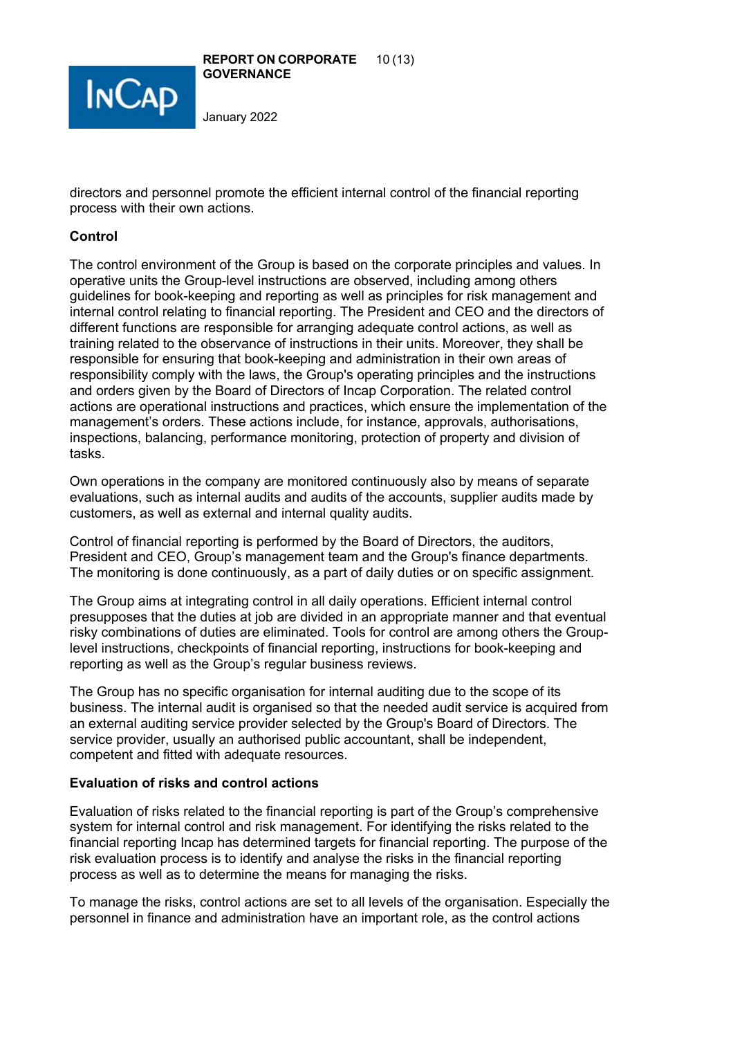

directors and personnel promote the efficient internal control of the financial reporting process with their own actions.

# **Control**

The control environment of the Group is based on the corporate principles and values. In operative units the Group-level instructions are observed, including among others guidelines for book-keeping and reporting as well as principles for risk management and internal control relating to financial reporting. The President and CEO and the directors of different functions are responsible for arranging adequate control actions, as well as training related to the observance of instructions in their units. Moreover, they shall be responsible for ensuring that book-keeping and administration in their own areas of responsibility comply with the laws, the Group's operating principles and the instructions and orders given by the Board of Directors of Incap Corporation. The related control actions are operational instructions and practices, which ensure the implementation of the management's orders. These actions include, for instance, approvals, authorisations, inspections, balancing, performance monitoring, protection of property and division of tasks.

Own operations in the company are monitored continuously also by means of separate evaluations, such as internal audits and audits of the accounts, supplier audits made by customers, as well as external and internal quality audits.

Control of financial reporting is performed by the Board of Directors, the auditors, President and CEO, Group's management team and the Group's finance departments. The monitoring is done continuously, as a part of daily duties or on specific assignment.

The Group aims at integrating control in all daily operations. Efficient internal control presupposes that the duties at job are divided in an appropriate manner and that eventual risky combinations of duties are eliminated. Tools for control are among others the Grouplevel instructions, checkpoints of financial reporting, instructions for book-keeping and reporting as well as the Group's regular business reviews.

The Group has no specific organisation for internal auditing due to the scope of its business. The internal audit is organised so that the needed audit service is acquired from an external auditing service provider selected by the Group's Board of Directors. The service provider, usually an authorised public accountant, shall be independent, competent and fitted with adequate resources.

# **Evaluation of risks and control actions**

Evaluation of risks related to the financial reporting is part of the Group's comprehensive system for internal control and risk management. For identifying the risks related to the financial reporting Incap has determined targets for financial reporting. The purpose of the risk evaluation process is to identify and analyse the risks in the financial reporting process as well as to determine the means for managing the risks.

To manage the risks, control actions are set to all levels of the organisation. Especially the personnel in finance and administration have an important role, as the control actions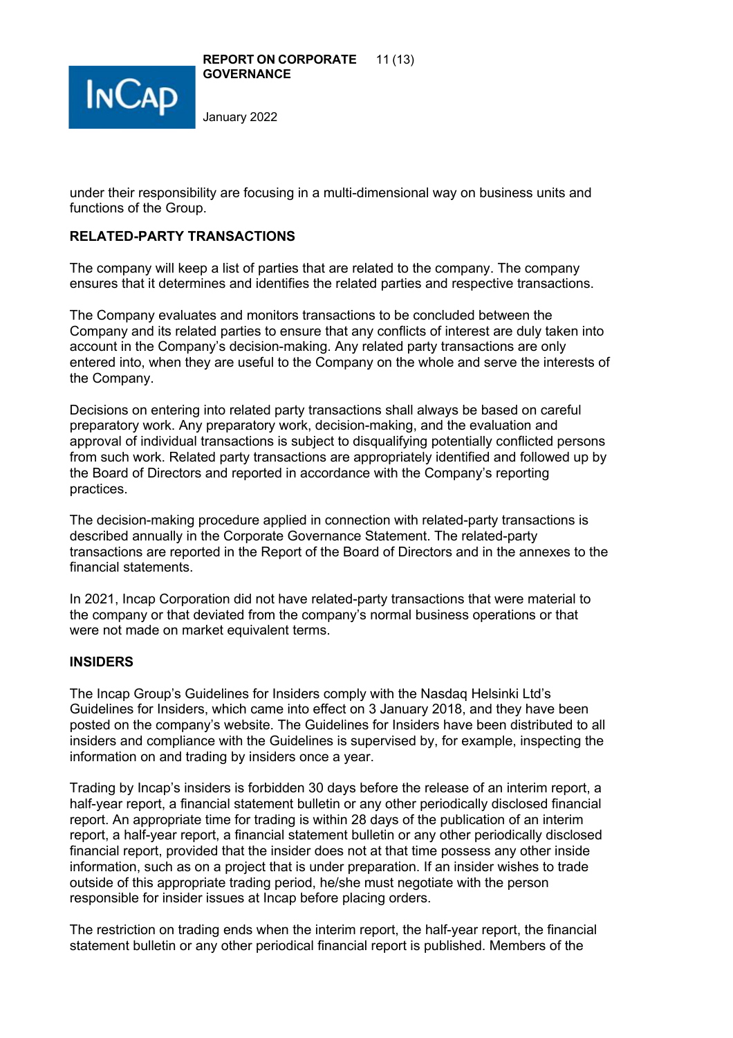

**REPORT ON CORPORATE** 11 (13) **GOVERNANCE**

January 2022

under their responsibility are focusing in a multi-dimensional way on business units and functions of the Group.

# **RELATED-PARTY TRANSACTIONS**

The company will keep a list of parties that are related to the company. The company ensures that it determines and identifies the related parties and respective transactions.

The Company evaluates and monitors transactions to be concluded between the Company and its related parties to ensure that any conflicts of interest are duly taken into account in the Company's decision-making. Any related party transactions are only entered into, when they are useful to the Company on the whole and serve the interests of the Company.

Decisions on entering into related party transactions shall always be based on careful preparatory work. Any preparatory work, decision-making, and the evaluation and approval of individual transactions is subject to disqualifying potentially conflicted persons from such work. Related party transactions are appropriately identified and followed up by the Board of Directors and reported in accordance with the Company's reporting practices.

The decision-making procedure applied in connection with related-party transactions is described annually in the Corporate Governance Statement. The related-party transactions are reported in the Report of the Board of Directors and in the annexes to the financial statements.

In 2021, Incap Corporation did not have related-party transactions that were material to the company or that deviated from the company's normal business operations or that were not made on market equivalent terms.

### **INSIDERS**

The Incap Group's Guidelines for Insiders comply with the Nasdaq Helsinki Ltd's Guidelines for Insiders, which came into effect on 3 January 2018, and they have been posted on the company's website. The Guidelines for Insiders have been distributed to all insiders and compliance with the Guidelines is supervised by, for example, inspecting the information on and trading by insiders once a year.

Trading by Incap's insiders is forbidden 30 days before the release of an interim report, a half-year report, a financial statement bulletin or any other periodically disclosed financial report. An appropriate time for trading is within 28 days of the publication of an interim report, a half-year report, a financial statement bulletin or any other periodically disclosed financial report, provided that the insider does not at that time possess any other inside information, such as on a project that is under preparation. If an insider wishes to trade outside of this appropriate trading period, he/she must negotiate with the person responsible for insider issues at Incap before placing orders.

The restriction on trading ends when the interim report, the half-year report, the financial statement bulletin or any other periodical financial report is published. Members of the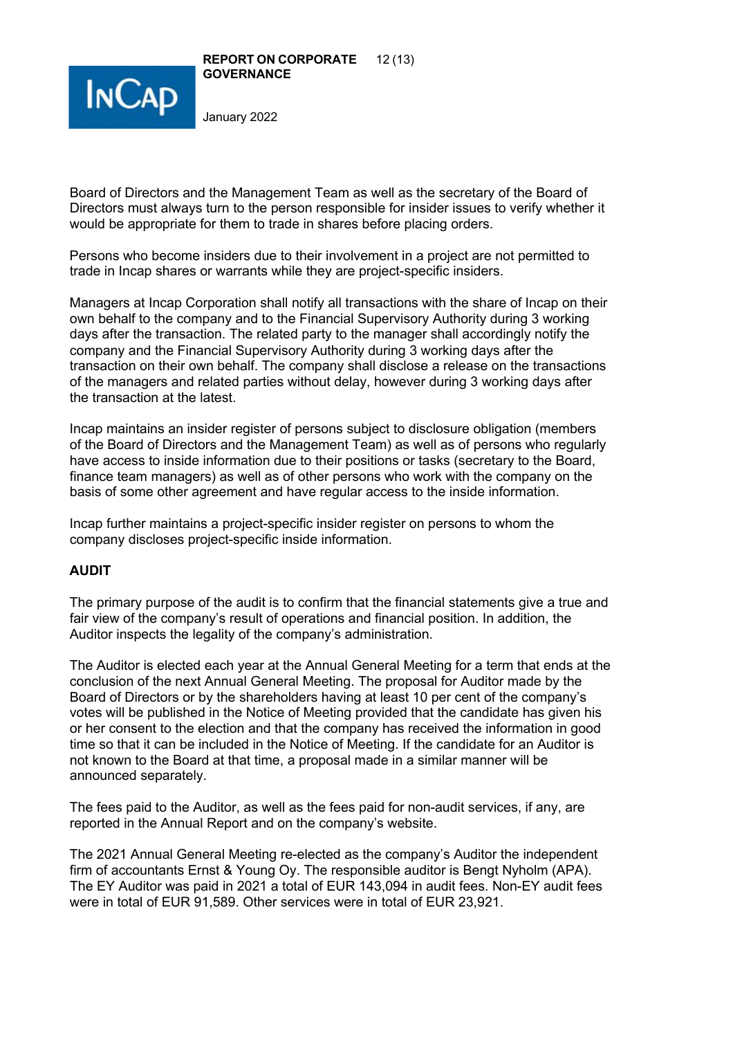



Board of Directors and the Management Team as well as the secretary of the Board of Directors must always turn to the person responsible for insider issues to verify whether it would be appropriate for them to trade in shares before placing orders.

Persons who become insiders due to their involvement in a project are not permitted to trade in Incap shares or warrants while they are project-specific insiders.

Managers at Incap Corporation shall notify all transactions with the share of Incap on their own behalf to the company and to the Financial Supervisory Authority during 3 working days after the transaction. The related party to the manager shall accordingly notify the company and the Financial Supervisory Authority during 3 working days after the transaction on their own behalf. The company shall disclose a release on the transactions of the managers and related parties without delay, however during 3 working days after the transaction at the latest.

Incap maintains an insider register of persons subject to disclosure obligation (members of the Board of Directors and the Management Team) as well as of persons who regularly have access to inside information due to their positions or tasks (secretary to the Board, finance team managers) as well as of other persons who work with the company on the basis of some other agreement and have regular access to the inside information.

Incap further maintains a project-specific insider register on persons to whom the company discloses project-specific inside information.

# **AUDIT**

The primary purpose of the audit is to confirm that the financial statements give a true and fair view of the company's result of operations and financial position. In addition, the Auditor inspects the legality of the company's administration.

The Auditor is elected each year at the Annual General Meeting for a term that ends at the conclusion of the next Annual General Meeting. The proposal for Auditor made by the Board of Directors or by the shareholders having at least 10 per cent of the company's votes will be published in the Notice of Meeting provided that the candidate has given his or her consent to the election and that the company has received the information in good time so that it can be included in the Notice of Meeting. If the candidate for an Auditor is not known to the Board at that time, a proposal made in a similar manner will be announced separately.

The fees paid to the Auditor, as well as the fees paid for non-audit services, if any, are reported in the Annual Report and on the company's website.

The 2021 Annual General Meeting re-elected as the company's Auditor the independent firm of accountants Ernst & Young Oy. The responsible auditor is Bengt Nyholm (APA). The EY Auditor was paid in 2021 a total of EUR 143,094 in audit fees. Non-EY audit fees were in total of EUR 91,589. Other services were in total of EUR 23,921.